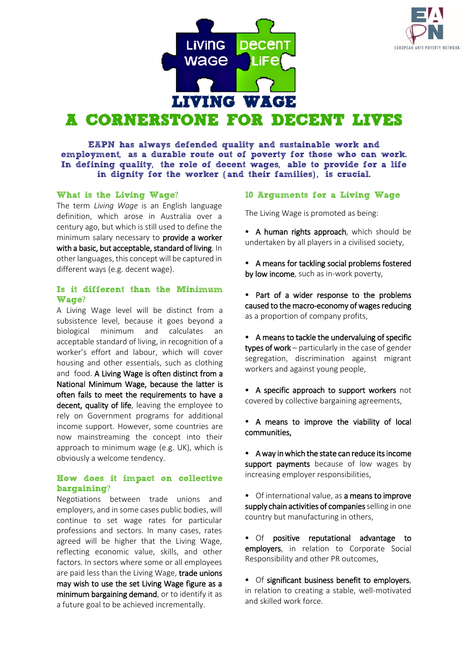



# A CORNERSTONE FOR DECENT LIVES

EAPN has always defended quality and sustainable work and employment, as a durable route out of poverty for those who can work. In defining quality, the role of decent wages, able to provide for a life in dignity for the worker (and their families), is crucial.

## What is the Living Wage?

The term *Living Wage* is an English language definition, which arose in Australia over a century ago, but which is still used to define the minimum salary necessary to **provide a worker** with a basic, but acceptable, standard of living. In other languages, this concept will be captured in different ways (e.g. decent wage).

## Is it different than the Minimum Wage?

A Living Wage level will be distinct from a subsistence level, because it goes beyond a biological minimum and calculates an acceptable standard of living, in recognition of a worker's effort and labour, which will cover housing and other essentials, such as clothing and [food.](http://en.wikipedia.org/wiki/Nutrition) A Living Wage is often distinct from a National Minimum Wage, because the latter is often fails to meet the requirements to have a decent, quality of life, leaving the employee to rely on Government programs for additional income support. However, some countries are now mainstreaming the concept into their approach to minimum wage (e.g. UK), which is obviously a welcome tendency.

## How does it impact on collective bargaining?

Negotiations between trade unions and employers, and in some cases public bodies, will continue to set wage rates for particular professions and sectors. In many cases, rates agreed will be higher that the Living Wage, reflecting economic value, skills, and other factors. In sectors where some or all employees are paid less than the Living Wage, trade unions may wish to use the set Living Wage figure as a minimum bargaining demand, or to identify it as a future goal to be achieved incrementally.

# 10 Arguments for a Living Wage

The Living Wage is promoted as being:

- A human rights approach, which should be undertaken by all players in a civilised society,
- A means for tackling social problems fostered by low income, such as in-work poverty.
- Part of a wider response to the problems caused to the macro-economy of wages reducing as a proportion of company profits,
- A means to tackle the undervaluing of specific types of work - particularly in the case of gender segregation, discrimination against migrant workers and against young people,
- A specific approach to support workers not covered by collective bargaining agreements,
- A means to improve the viability of local communities,
- A way in which the state can reduce its income support payments because of low wages by increasing employer responsibilities,
- Of international value, as a means to improve supply chain activities of companies selling in one country but manufacturing in others,
- Of positive reputational advantage to employers, in relation to Corporate Social Responsibility and other PR outcomes,
- Of significant business benefit to employers, in relation to creating a stable, well-motivated and skilled work force.